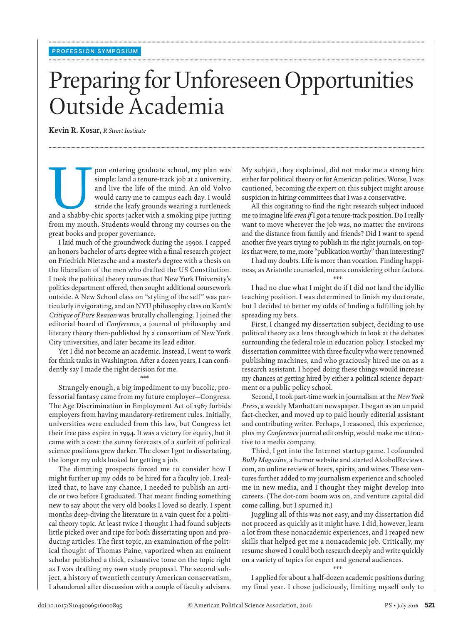## Preparing for Unforeseen Opportunities Outside Academia

**........................................................................................................................................................................................................................................................................................................**

**........................................................................................................................................................................................................................................................................................................**

**........................................................................................................................................................................................................................................................................................................**

 **Kevin R. Kosar ,** *R Street Institute* 

pon entering graduate school, my plan was<br>
simple: land a tenure-track job at a university,<br>
and live the life of the mind. An old Volvo<br>
would carry me to campus each day. I would<br>
stride the leafy grounds wearing a turtl simple: land a tenure-track job at a university, and live the life of the mind. An old Volvo would carry me to campus each day. I would stride the leafy grounds wearing a turtleneck from my mouth. Students would throng my courses on the great books and proper governance.

 I laid much of the groundwork during the 1990s. I capped an honors bachelor of arts degree with a final research project on Friedrich Nietzsche and a master's degree with a thesis on the liberalism of the men who drafted the US Constitution. I took the political theory courses that New York University's politics department offered, then sought additional coursework outside. A New School class on "styling of the self" was particularly invigorating, and an NYU philosophy class on Kant's *Critique of Pure Reason* was brutally challenging. I joined the editorial board of *Conference* , a journal of philosophy and literary theory then-published by a consortium of New York City universities, and later became its lead editor.

 Yet I did not become an academic. Instead, I went to work for think tanks in Washington. After a dozen years, I can confidently say I made the right decision for me.

\*\*\*

 Strangely enough, a big impediment to my bucolic, professorial fantasy came from my future employer—Congress. The Age Discrimination in Employment Act of 1967 forbids employers from having mandatory-retirement rules. Initially, universities were excluded from this law, but Congress let their free pass expire in 1994. It was a victory for equity, but it came with a cost: the sunny forecasts of a surfeit of political science positions grew darker. The closer I got to dissertating, the longer my odds looked for getting a job.

 The dimming prospects forced me to consider how I might further up my odds to be hired for a faculty job. I realized that, to have any chance, I needed to publish an article or two before I graduated. That meant finding something new to say about the very old books I loved so dearly. I spent months deep-diving the literature in a vain quest for a political theory topic. At least twice I thought I had found subjects little picked over and ripe for both dissertating upon and producing articles. The first topic, an examination of the political thought of Thomas Paine, vaporized when an eminent scholar published a thick, exhaustive tome on the topic right as I was drafting my own study proposal. The second subject, a history of twentieth century American conservatism, I abandoned after discussion with a couple of faculty advisers. My subject, they explained, did not make me a strong hire either for political theory or for American politics. Worse, I was cautioned, becoming *the* expert on this subject might arouse suspicion in hiring committees that I was a conservative.

All this cogitating to find the right research subject induced me to imagine life *even if* I got a tenure-track position. Do I really want to move wherever the job was, no matter the environs and the distance from family and friends? Did I want to spend another five years trying to publish in the right journals, on topics that were, to me, more "publication worthy" than interesting?

 I had my doubts. Life is more than vocation. Finding happiness, as Aristotle counseled, means considering other factors.

\*\*\*

 I had no clue what I might do if I did not land the idyllic teaching position. I was determined to finish my doctorate, but I decided to better my odds of finding a fulfilling job by spreading my bets.

 First, I changed my dissertation subject, deciding to use political theory as a lens through which to look at the debates surrounding the federal role in education policy. I stocked my dissertation committee with three faculty who were renowned publishing machines, and who graciously hired me on as a research assistant. I hoped doing these things would increase my chances at getting hired by either a political science department or a public policy school.

 Second, I took part-time work in journalism at the *New York Press* , a weekly Manhattan newspaper. I began as an unpaid fact-checker, and moved up to paid hourly editorial assistant and contributing writer. Perhaps, I reasoned, this experience, plus my *Conference* journal editorship, would make me attractive to a media company.

 Third, I got into the Internet startup game. I cofounded *Bully Magazine* , a humor website and started AlcoholReviews. com, an online review of beers, spirits, and wines. These ventures further added to my journalism experience and schooled me in new media, and I thought they might develop into careers. (The dot-com boom was on, and venture capital did come calling, but I spurned it.)

 Juggling all of this was not easy, and my dissertation did not proceed as quickly as it might have. I did, however, learn a lot from these nonacademic experiences, and I reaped new skills that helped get me a nonacademic job. Critically, my resume showed I could both research deeply and write quickly on a variety of topics for expert and general audiences.

 \*\*\* I applied for about a half-dozen academic positions during my final year. I chose judiciously, limiting myself only to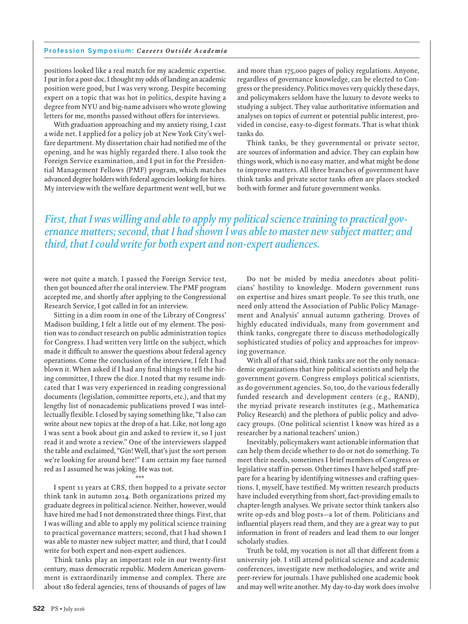## Profession Symposium: *Careers Outside Academia* **........................................................................................................................................................................................................................................................................................................**

positions looked like a real match for my academic expertise. I put in for a post-doc. I thought my odds of landing an academic position were good, but I was very wrong. Despite becoming expert on a topic that was hot in politics, despite having a degree from NYU and big-name advisors who wrote glowing letters for me, months passed without offers for interviews.

 With graduation approaching and my anxiety rising, I cast a wide net. I applied for a policy job at New York City's welfare department. My dissertation chair had notified me of the opening, and he was highly regarded there. I also took the Foreign Service examination, and I put in for the Presidential Management Fellows (PMF) program, which matches advanced degree holders with federal agencies looking for hires. My interview with the welfare department went well, but we

and more than 175,000 pages of policy regulations. Anyone, regardless of governance knowledge, can be elected to Congress or the presidency. Politics moves very quickly these days, and policymakers seldom have the luxury to devote weeks to studying a subject. They value authoritative information and analyses on topics of current or potential public interest, provided in concise, easy-to-digest formats. That is what think tanks do.

 Think tanks, be they governmental or private sector, are sources of information and advice. They can explain how things work, which is no easy matter, and what might be done to improve matters. All three branches of government have think tanks and private sector tanks often are places stocked both with former and future government wonks.

 *First, that I was willing and able to apply my political science training to practical governance matters; second, that I had shown I was able to master new subject matter; and third, that I could write for both expert and non-expert audiences.* 

**........................................................................................................................................................................................................................................................................................................**

were not quite a match. I passed the Foreign Service test, then got bounced after the oral interview. The PMF program accepted me, and shortly after applying to the Congressional Research Service, I got called in for an interview.

 Sitting in a dim room in one of the Library of Congress' Madison building, I felt a little out of my element. The position was to conduct research on public administration topics for Congress. I had written very little on the subject, which made it difficult to answer the questions about federal agency operations. Come the conclusion of the interview, I felt I had blown it. When asked if I had any final things to tell the hiring committee, I threw the dice. I noted that my resume indicated that I was very experienced in reading congressional documents (legislation, committee reports, etc.), and that my lengthy list of nonacademic publications proved I was intellectually flexible. I closed by saying something like, "I also can write about new topics at the drop of a hat. Like, not long ago I was sent a book about gin and asked to review it, so I just read it and wrote a review." One of the interviewers slapped the table and exclaimed, "Gin! Well, that's just the sort person we're looking for around here!" I am certain my face turned red as I assumed he was joking. He was not.

 I spent 11 years at CRS, then hopped to a private sector think tank in autumn 2014. Both organizations prized my graduate degrees in political science. Neither, however, would have hired me had I not demonstrated three things. First, that I was willing and able to apply my political science training to practical governance matters; second, that I had shown I was able to master new subject matter; and third, that I could write for both expert and non-expert audiences.

\*\*\*

 Think tanks play an important role in our twenty-first century, mass democratic republic. Modern American government is extraordinarily immense and complex. There are about 180 federal agencies, tens of thousands of pages of law

 Do not be misled by media anecdotes about politicians' hostility to knowledge. Modern government runs on expertise and hires smart people. To see this truth, one need only attend the Association of Public Policy Management and Analysis' annual autumn gathering. Droves of highly educated individuals, many from government and think tanks, congregate there to discuss methodologically sophisticated studies of policy and approaches for improving governance.

 With all of that said, think tanks are not the only nonacademic organizations that hire political scientists and help the government govern. Congress employs political scientists, as do government agencies. So, too, do the various federally funded research and development centers (e.g., RAND), the myriad private research institutes (e.g., Mathematica Policy Research) and the plethora of public policy and advocacy groups. (One political scientist I know was hired as a researcher by a national teachers' union.)

 Inevitably, policymakers want actionable information that can help them decide whether to do or not do something. To meet their needs, sometimes I brief members of Congress or legislative staff in-person. Other times I have helped staff prepare for a hearing by identifying witnesses and crafting questions. I, myself, have testified. My written research products have included everything from short, fact-providing emails to chapter-length analyses. We private sector think tankers also write op-eds and blog posts—a lot of them. Politicians and influential players read them, and they are a great way to put information in front of readers and lead them to our longer scholarly studies.

Truth be told, my vocation is not all that different from a university job. I still attend political science and academic conferences, investigate new methodologies, and write and peer-review for journals. I have published one academic book and may well write another. My day-to-day work does involve